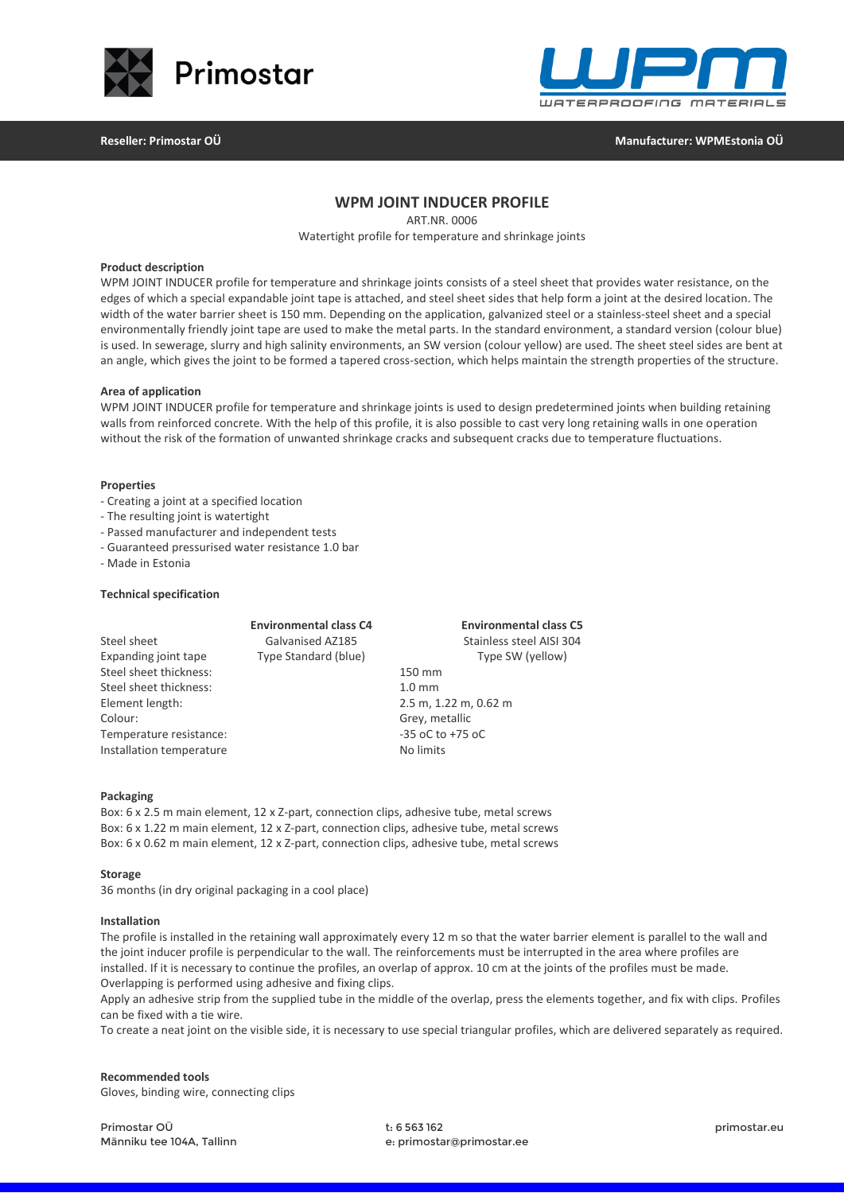



**Reseller: Primostar OÜ Manufacturer: WPMEstonia OÜ**

# **WPM JOINT INDUCER PROFILE**

ART.NR. 0006

Watertight profile for temperature and shrinkage joints

### **Product description**

WPM JOINT INDUCER profile for temperature and shrinkage joints consists of a steel sheet that provides water resistance, on the edges of which a special expandable joint tape is attached, and steel sheet sides that help form a joint at the desired location. The width of the water barrier sheet is 150 mm. Depending on the application, galvanized steel or a stainless-steel sheet and a special environmentally friendly joint tape are used to make the metal parts. In the standard environment, a standard version (colour blue) is used. In sewerage, slurry and high salinity environments, an SW version (colour yellow) are used. The sheet steel sides are bent at an angle, which gives the joint to be formed a tapered cross-section, which helps maintain the strength properties of the structure.

#### **Area of application**

WPM JOINT INDUCER profile for temperature and shrinkage joints is used to design predetermined joints when building retaining walls from reinforced concrete. With the help of this profile, it is also possible to cast very long retaining walls in one operation without the risk of the formation of unwanted shrinkage cracks and subsequent cracks due to temperature fluctuations.

#### **Properties**

- Creating a joint at a specified location
- The resulting joint is watertight
- Passed manufacturer and independent tests
- Guaranteed pressurised water resistance 1.0 bar
- Made in Estonia

### **Technical specification**

|                          | <b>Environmental class C4</b> | <b>Environmental class C5</b> |
|--------------------------|-------------------------------|-------------------------------|
| Steel sheet              | Galvanised AZ185              | Stainless steel AISI 304      |
| Expanding joint tape     | Type Standard (blue)          | Type SW (yellow)              |
| Steel sheet thickness:   |                               | 150 mm                        |
| Steel sheet thickness:   |                               | 1.0 <sub>mm</sub>             |
| Element length:          |                               | 2.5 m, 1.22 m, 0.62 m         |
| Colour:                  |                               | Grey, metallic                |
| Temperature resistance:  |                               | $-35$ oC to $+75$ oC          |
| Installation temperature |                               | No limits                     |

#### **Packaging**

Box: 6 x 2.5 m main element, 12 x Z-part, connection clips, adhesive tube, metal screws Box: 6 x 1.22 m main element, 12 x Z-part, connection clips, adhesive tube, metal screws Box: 6 x 0.62 m main element, 12 x Z-part, connection clips, adhesive tube, metal screws

#### **Storage**

36 months (in dry original packaging in a cool place)

#### **Installation**

The profile is installed in the retaining wall approximately every 12 m so that the water barrier element is parallel to the wall and the joint inducer profile is perpendicular to the wall. The reinforcements must be interrupted in the area where profiles are installed. If it is necessary to continue the profiles, an overlap of approx. 10 cm at the joints of the profiles must be made. Overlapping is performed using adhesive and fixing clips.

Apply an adhesive strip from the supplied tube in the middle of the overlap, press the elements together, and fix with clips. Profiles can be fixed with a tie wire.

To create a neat joint on the visible side, it is necessary to use special triangular profiles, which are delivered separately as required.

## **Recommended tools** Gloves, binding wire, connecting clips